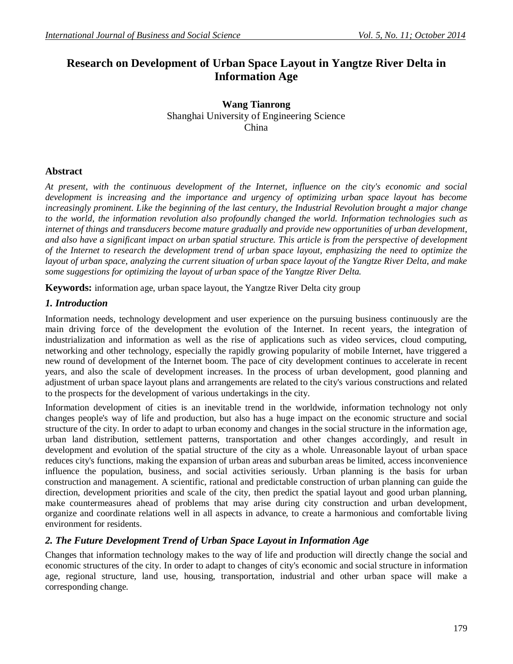# **Research on Development of Urban Space Layout in Yangtze River Delta in Information Age**

**Wang Tianrong** Shanghai University of Engineering Science China

## **Abstract**

*At present, with the continuous development of the Internet, influence on the city's economic and social development is increasing and the importance and urgency of optimizing urban space layout has become increasingly prominent. Like the beginning of the last century, the Industrial Revolution brought a major change to the world, the information revolution also profoundly changed the world. Information technologies such as internet of things and transducers become mature gradually and provide new opportunities of urban development, and also have a significant impact on urban spatial structure. This article is from the perspective of development of the Internet to research the development trend of urban space layout, emphasizing the need to optimize the layout of urban space, analyzing the current situation of urban space layout of the Yangtze River Delta, and make some suggestions for optimizing the layout of urban space of the Yangtze River Delta.*

**Keywords:** information age, urban space layout, the Yangtze River Delta city group

## *1. Introduction*

Information needs, technology development and user experience on the pursuing business continuously are the main driving force of the development the evolution of the Internet. In recent years, the integration of industrialization and information as well as the rise of applications such as video services, cloud computing, networking and other technology, especially the rapidly growing popularity of mobile Internet, have triggered a new round of development of the Internet boom. The pace of city development continues to accelerate in recent years, and also the scale of development increases. In the process of urban development, good planning and adjustment of urban space layout plans and arrangements are related to the city's various constructions and related to the prospects for the development of various undertakings in the city.

Information development of cities is an inevitable trend in the worldwide, information technology not only changes people's way of life and production, but also has a huge impact on the economic structure and social structure of the city. In order to adapt to urban economy and changes in the social structure in the information age, urban land distribution, settlement patterns, transportation and other changes accordingly, and result in development and evolution of the spatial structure of the city as a whole. Unreasonable layout of urban space reduces city's functions, making the expansion of urban areas and suburban areas be limited, access inconvenience influence the population, business, and social activities seriously. Urban planning is the basis for urban construction and management. A scientific, rational and predictable construction of urban planning can guide the direction, development priorities and scale of the city, then predict the spatial layout and good urban planning, make countermeasures ahead of problems that may arise during city construction and urban development, organize and coordinate relations well in all aspects in advance, to create a harmonious and comfortable living environment for residents.

## *2. The Future Development Trend of Urban Space Layout in Information Age*

Changes that information technology makes to the way of life and production will directly change the social and economic structures of the city. In order to adapt to changes of city's economic and social structure in information age, regional structure, land use, housing, transportation, industrial and other urban space will make a corresponding change.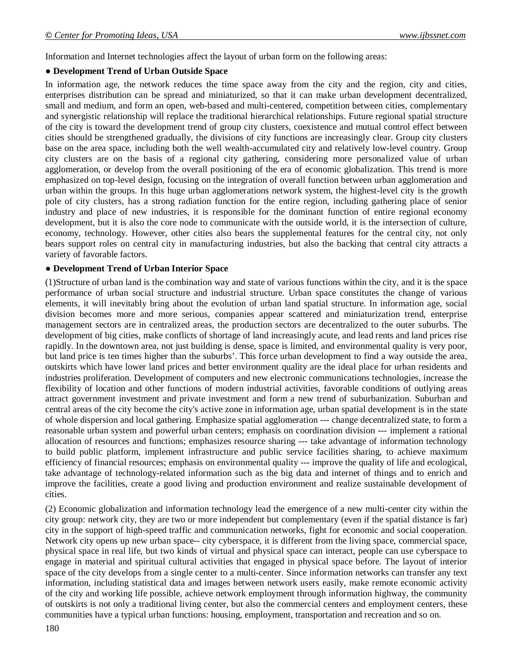Information and Internet technologies affect the layout of urban form on the following areas:

#### ● **Development Trend of Urban Outside Space**

In information age, the network reduces the time space away from the city and the region, city and cities, enterprises distribution can be spread and miniaturized, so that it can make urban development decentralized, small and medium, and form an open, web-based and multi-centered, competition between cities, complementary and synergistic relationship will replace the traditional hierarchical relationships. Future regional spatial structure of the city is toward the development trend of group city clusters, coexistence and mutual control effect between cities should be strengthened gradually, the divisions of city functions are increasingly clear. Group city clusters base on the area space, including both the well wealth-accumulated city and relatively low-level country. Group city clusters are on the basis of a regional city gathering, considering more personalized value of urban agglomeration, or develop from the overall positioning of the era of economic globalization. This trend is more emphasized on top-level design, focusing on the integration of overall function between urban agglomeration and urban within the groups. In this huge urban agglomerations network system, the highest-level city is the growth pole of city clusters, has a strong radiation function for the entire region, including gathering place of senior industry and place of new industries, it is responsible for the dominant function of entire regional economy development, but it is also the core node to communicate with the outside world, it is the intersection of culture, economy, technology. However, other cities also bears the supplemental features for the central city, not only bears support roles on central city in manufacturing industries, but also the backing that central city attracts a variety of favorable factors.

#### ● **Development Trend of Urban Interior Space**

(1)Structure of urban land is the combination way and state of various functions within the city, and it is the space performance of urban social structure and industrial structure. Urban space constitutes the change of various elements, it will inevitably bring about the evolution of urban land spatial structure. In information age, social division becomes more and more serious, companies appear scattered and miniaturization trend, enterprise management sectors are in centralized areas, the production sectors are decentralized to the outer suburbs. The development of big cities, make conflicts of shortage of land increasingly acute, and lead rents and land prices rise rapidly. In the downtown area, not just building is dense, space is limited, and environmental quality is very poor, but land price is ten times higher than the suburbs'. This force urban development to find a way outside the area, outskirts which have lower land prices and better environment quality are the ideal place for urban residents and industries proliferation. Development of computers and new electronic communications technologies, increase the flexibility of location and other functions of modern industrial activities, favorable conditions of outlying areas attract government investment and private investment and form a new trend of suburbanization. Suburban and central areas of the city become the city's active zone in information age, urban spatial development is in the state of whole dispersion and local gathering. Emphasize spatial agglomeration --- change decentralized state, to form a reasonable urban system and powerful urban centers; emphasis on coordination division --- implement a rational allocation of resources and functions; emphasizes resource sharing --- take advantage of information technology to build public platform, implement infrastructure and public service facilities sharing, to achieve maximum efficiency of financial resources; emphasis on environmental quality --- improve the quality of life and ecological, take advantage of technology-related information such as the big data and internet of things and to enrich and improve the facilities, create a good living and production environment and realize sustainable development of cities.

(2) Economic globalization and information technology lead the emergence of a new multi-center city within the city group: network city, they are two or more independent but complementary (even if the spatial distance is far) city in the support of high-speed traffic and communication networks, fight for economic and social cooperation. Network city opens up new urban space-- city cyberspace, it is different from the living space, commercial space, physical space in real life, but two kinds of virtual and physical space can interact, people can use cyberspace to engage in material and spiritual cultural activities that engaged in physical space before. The layout of interior space of the city develops from a single center to a multi-center. Since information networks can transfer any text information, including statistical data and images between network users easily, make remote economic activity of the city and working life possible, achieve network employment through information highway, the community of outskirts is not only a traditional living center, but also the commercial centers and employment centers, these communities have a typical urban functions: housing, employment, transportation and recreation and so on.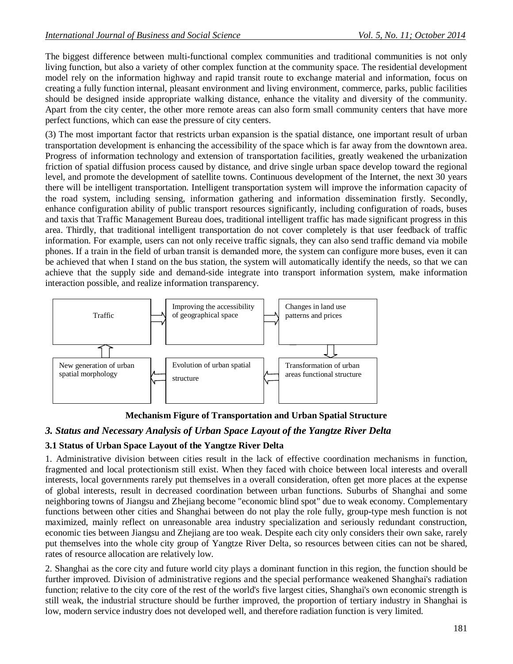The biggest difference between multi-functional complex communities and traditional communities is not only living function, but also a variety of other complex function at the community space. The residential development model rely on the information highway and rapid transit route to exchange material and information, focus on creating a fully function internal, pleasant environment and living environment, commerce, parks, public facilities should be designed inside appropriate walking distance, enhance the vitality and diversity of the community. Apart from the city center, the other more remote areas can also form small community centers that have more perfect functions, which can ease the pressure of city centers.

(3) The most important factor that restricts urban expansion is the spatial distance, one important result of urban transportation development is enhancing the accessibility of the space which is far away from the downtown area. Progress of information technology and extension of transportation facilities, greatly weakened the urbanization friction of spatial diffusion process caused by distance, and drive single urban space develop toward the regional level, and promote the development of satellite towns. Continuous development of the Internet, the next 30 years there will be intelligent transportation. Intelligent transportation system will improve the information capacity of the road system, including sensing, information gathering and information dissemination firstly. Secondly, enhance configuration ability of public transport resources significantly, including configuration of roads, buses and taxis that Traffic Management Bureau does, traditional intelligent traffic has made significant progress in this area. Thirdly, that traditional intelligent transportation do not cover completely is that user feedback of traffic information. For example, users can not only receive traffic signals, they can also send traffic demand via mobile phones. If a train in the field of urban transit is demanded more, the system can configure more buses, even it can be achieved that when I stand on the bus station, the system will automatically identify the needs, so that we can achieve that the supply side and demand-side integrate into transport information system, make information interaction possible, and realize information transparency.



**Mechanism Figure of Transportation and Urban Spatial Structure**

## *3. Status and Necessary Analysis of Urban Space Layout of the Yangtze River Delta*

## **3.1 Status of Urban Space Layout of the Yangtze River Delta**

1. Administrative division between cities result in the lack of effective coordination mechanisms in function, fragmented and local protectionism still exist. When they faced with choice between local interests and overall interests, local governments rarely put themselves in a overall consideration, often get more places at the expense of global interests, result in decreased coordination between urban functions. Suburbs of Shanghai and some neighboring towns of Jiangsu and Zhejiang become "economic blind spot" due to weak economy. Complementary functions between other cities and Shanghai between do not play the role fully, group-type mesh function is not maximized, mainly reflect on unreasonable area industry specialization and seriously redundant construction, economic ties between Jiangsu and Zhejiang are too weak. Despite each city only considers their own sake, rarely put themselves into the whole city group of Yangtze River Delta, so resources between cities can not be shared, rates of resource allocation are relatively low.

2. Shanghai as the core city and future world city plays a dominant function in this region, the function should be further improved. Division of administrative regions and the special performance weakened Shanghai's radiation function; relative to the city core of the rest of the world's five largest cities, Shanghai's own economic strength is still weak, the industrial structure should be further improved, the proportion of tertiary industry in Shanghai is low, modern service industry does not developed well, and therefore radiation function is very limited.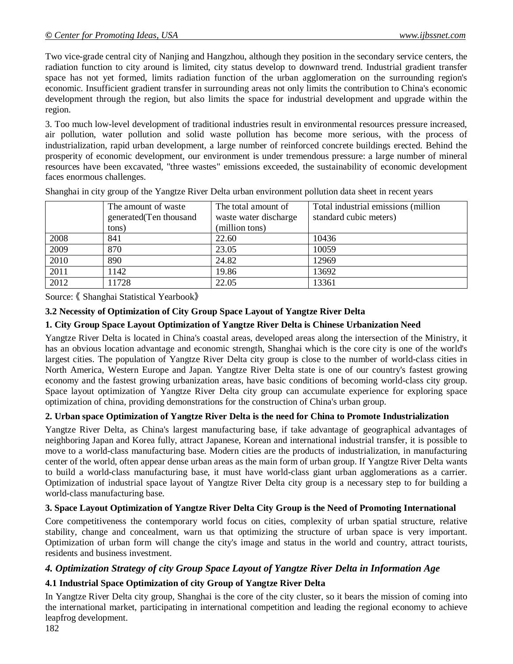Two vice-grade central city of Nanjing and Hangzhou, although they position in the secondary service centers, the radiation function to city around is limited, city status develop to downward trend. Industrial gradient transfer space has not yet formed, limits radiation function of the urban agglomeration on the surrounding region's economic. Insufficient gradient transfer in surrounding areas not only limits the contribution to China's economic development through the region, but also limits the space for industrial development and upgrade within the region.

3. Too much low-level development of traditional industries result in environmental resources pressure increased, air pollution, water pollution and solid waste pollution has become more serious, with the process of industrialization, rapid urban development, a large number of reinforced concrete buildings erected. Behind the prosperity of economic development, our environment is under tremendous pressure: a large number of mineral resources have been excavated, "three wastes" emissions exceeded, the sustainability of economic development faces enormous challenges.

|      | The amount of waste<br>generated (Ten thousand | The total amount of<br>waste water discharge | Total industrial emissions (million<br>standard cubic meters) |
|------|------------------------------------------------|----------------------------------------------|---------------------------------------------------------------|
|      | tons)                                          | (million tons)                               |                                                               |
| 2008 | 841                                            | 22.60                                        | 10436                                                         |
| 2009 | 870                                            | 23.05                                        | 10059                                                         |
| 2010 | 890                                            | 24.82                                        | 12969                                                         |
| 2011 | 1142                                           | 19.86                                        | 13692                                                         |
| 2012 | 1728                                           | 22.05                                        | 13361                                                         |

Shanghai in city group of the Yangtze River Delta urban environment pollution data sheet in recent years

Source: 《 Shanghai Statistical Yearbook》

## **3.2 Necessity of Optimization of City Group Space Layout of Yangtze River Delta**

## **1. City Group Space Layout Optimization of Yangtze River Delta is Chinese Urbanization Need**

Yangtze River Delta is located in China's coastal areas, developed areas along the intersection of the Ministry, it has an obvious location advantage and economic strength, Shanghai which is the core city is one of the world's largest cities. The population of Yangtze River Delta city group is close to the number of world-class cities in North America, Western Europe and Japan. Yangtze River Delta state is one of our country's fastest growing economy and the fastest growing urbanization areas, have basic conditions of becoming world-class city group. Space layout optimization of Yangtze River Delta city group can accumulate experience for exploring space optimization of china, providing demonstrations for the construction of China's urban group.

## **2. Urban space Optimization of Yangtze River Delta is the need for China to Promote Industrialization**

Yangtze River Delta, as China's largest manufacturing base, if take advantage of geographical advantages of neighboring Japan and Korea fully, attract Japanese, Korean and international industrial transfer, it is possible to move to a world-class manufacturing base. Modern cities are the products of industrialization, in manufacturing center of the world, often appear dense urban areas as the main form of urban group. If Yangtze River Delta wants to build a world-class manufacturing base, it must have world-class giant urban agglomerations as a carrier. Optimization of industrial space layout of Yangtze River Delta city group is a necessary step to for building a world-class manufacturing base.

## **3. Space Layout Optimization of Yangtze River Delta City Group is the Need of Promoting International**

Core competitiveness the contemporary world focus on cities, complexity of urban spatial structure, relative stability, change and concealment, warn us that optimizing the structure of urban space is very important. Optimization of urban form will change the city's image and status in the world and country, attract tourists, residents and business investment.

## *4. Optimization Strategy of city Group Space Layout of Yangtze River Delta in Information Age*

## **4.1 Industrial Space Optimization of city Group of Yangtze River Delta**

In Yangtze River Delta city group, Shanghai is the core of the city cluster, so it bears the mission of coming into the international market, participating in international competition and leading the regional economy to achieve leapfrog development.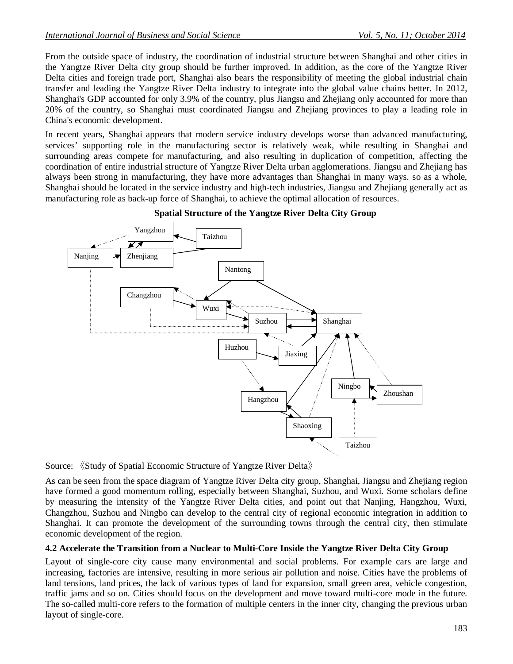From the outside space of industry, the coordination of industrial structure between Shanghai and other cities in the Yangtze River Delta city group should be further improved. In addition, as the core of the Yangtze River Delta cities and foreign trade port, Shanghai also bears the responsibility of meeting the global industrial chain transfer and leading the Yangtze River Delta industry to integrate into the global value chains better. In 2012, Shanghai's GDP accounted for only 3.9% of the country, plus Jiangsu and Zhejiang only accounted for more than 20% of the country, so Shanghai must coordinated Jiangsu and Zhejiang provinces to play a leading role in China's economic development.

In recent years, Shanghai appears that modern service industry develops worse than advanced manufacturing, services' supporting role in the manufacturing sector is relatively weak, while resulting in Shanghai and surrounding areas compete for manufacturing, and also resulting in duplication of competition, affecting the coordination of entire industrial structure of Yangtze River Delta urban agglomerations. Jiangsu and Zhejiang has always been strong in manufacturing, they have more advantages than Shanghai in many ways. so as a whole, Shanghai should be located in the service industry and high-tech industries, Jiangsu and Zhejiang generally act as manufacturing role as back-up force of Shanghai, to achieve the optimal allocation of resources.



#### **Spatial Structure of the Yangtze River Delta City Group**

Source: 《Study of Spatial Economic Structure of Yangtze River Delta》

As can be seen from the space diagram of Yangtze River Delta city group, Shanghai, Jiangsu and Zhejiang region have formed a good momentum rolling, especially between Shanghai, Suzhou, and Wuxi. Some scholars define by measuring the intensity of the Yangtze River Delta cities, and point out that Nanjing, Hangzhou, Wuxi, Changzhou, Suzhou and Ningbo can develop to the central city of regional economic integration in addition to Shanghai. It can promote the development of the surrounding towns through the central city, then stimulate economic development of the region.

## **4.2 Accelerate the Transition from a Nuclear to Multi-Core Inside the Yangtze River Delta City Group**

Layout of single-core city cause many environmental and social problems. For example cars are large and increasing, factories are intensive, resulting in more serious air pollution and noise. Cities have the problems of land tensions, land prices, the lack of various types of land for expansion, small green area, vehicle congestion, traffic jams and so on. Cities should focus on the development and move toward multi-core mode in the future. The so-called multi-core refers to the formation of multiple centers in the inner city, changing the previous urban layout of single-core.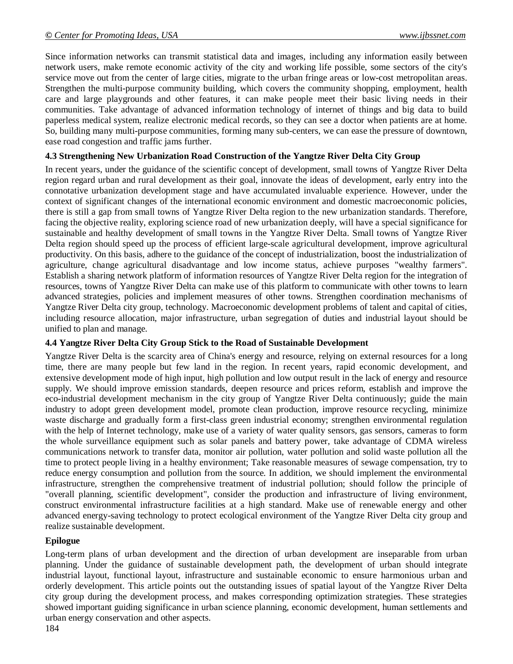Since information networks can transmit statistical data and images, including any information easily between network users, make remote economic activity of the city and working life possible, some sectors of the city's service move out from the center of large cities, migrate to the urban fringe areas or low-cost metropolitan areas. Strengthen the multi-purpose community building, which covers the community shopping, employment, health care and large playgrounds and other features, it can make people meet their basic living needs in their communities. Take advantage of advanced information technology of internet of things and big data to build paperless medical system, realize electronic medical records, so they can see a doctor when patients are at home. So, building many multi-purpose communities, forming many sub-centers, we can ease the pressure of downtown, ease road congestion and traffic jams further.

#### **4.3 Strengthening New Urbanization Road Construction of the Yangtze River Delta City Group**

In recent years, under the guidance of the scientific concept of development, small towns of Yangtze River Delta region regard urban and rural development as their goal, innovate the ideas of development, early entry into the connotative urbanization development stage and have accumulated invaluable experience. However, under the context of significant changes of the international economic environment and domestic macroeconomic policies, there is still a gap from small towns of Yangtze River Delta region to the new urbanization standards. Therefore, facing the objective reality, exploring science road of new urbanization deeply, will have a special significance for sustainable and healthy development of small towns in the Yangtze River Delta. Small towns of Yangtze River Delta region should speed up the process of efficient large-scale agricultural development, improve agricultural productivity. On this basis, adhere to the guidance of the concept of industrialization, boost the industrialization of agriculture, change agricultural disadvantage and low income status, achieve purposes "wealthy farmers". Establish a sharing network platform of information resources of Yangtze River Delta region for the integration of resources, towns of Yangtze River Delta can make use of this platform to communicate with other towns to learn advanced strategies, policies and implement measures of other towns. Strengthen coordination mechanisms of Yangtze River Delta city group, technology. Macroeconomic development problems of talent and capital of cities, including resource allocation, major infrastructure, urban segregation of duties and industrial layout should be unified to plan and manage.

#### **4.4 Yangtze River Delta City Group Stick to the Road of Sustainable Development**

Yangtze River Delta is the scarcity area of China's energy and resource, relying on external resources for a long time, there are many people but few land in the region. In recent years, rapid economic development, and extensive development mode of high input, high pollution and low output result in the lack of energy and resource supply. We should improve emission standards, deepen resource and prices reform, establish and improve the eco-industrial development mechanism in the city group of Yangtze River Delta continuously; guide the main industry to adopt green development model, promote clean production, improve resource recycling, minimize waste discharge and gradually form a first-class green industrial economy; strengthen environmental regulation with the help of Internet technology, make use of a variety of water quality sensors, gas sensors, cameras to form the whole surveillance equipment such as solar panels and battery power, take advantage of CDMA wireless communications network to transfer data, monitor air pollution, water pollution and solid waste pollution all the time to protect people living in a healthy environment; Take reasonable measures of sewage compensation, try to reduce energy consumption and pollution from the source. In addition, we should implement the environmental infrastructure, strengthen the comprehensive treatment of industrial pollution; should follow the principle of "overall planning, scientific development", consider the production and infrastructure of living environment, construct environmental infrastructure facilities at a high standard. Make use of renewable energy and other advanced energy-saving technology to protect ecological environment of the Yangtze River Delta city group and realize sustainable development.

#### **Epilogue**

Long-term plans of urban development and the direction of urban development are inseparable from urban planning. Under the guidance of sustainable development path, the development of urban should integrate industrial layout, functional layout, infrastructure and sustainable economic to ensure harmonious urban and orderly development. This article points out the outstanding issues of spatial layout of the Yangtze River Delta city group during the development process, and makes corresponding optimization strategies. These strategies showed important guiding significance in urban science planning, economic development, human settlements and urban energy conservation and other aspects.